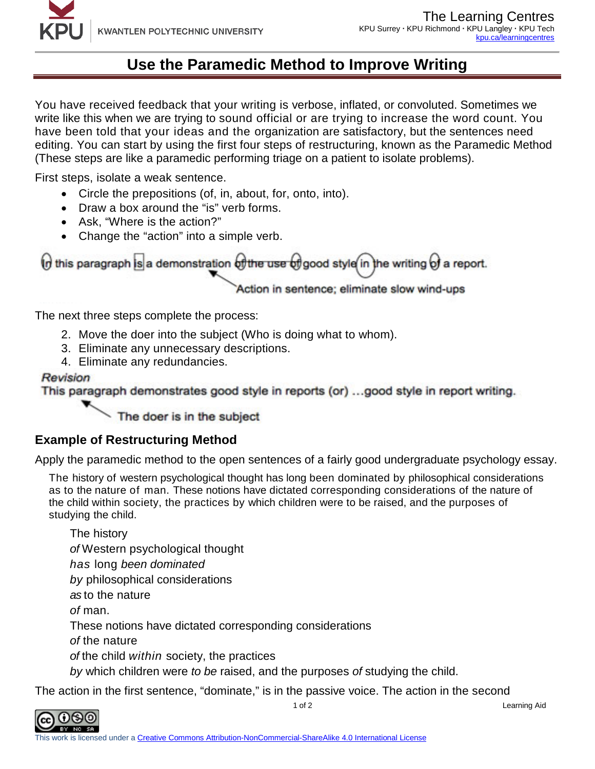# **Use the Paramedic Method to Improve Writing**

You have received feedback that your writing is verbose, inflated, or convoluted. Sometimes we write like this when we are trying to sound official or are trying to increase the word count. You have been told that your ideas and the organization are satisfactory, but the sentences need editing. You can start by using the first four steps of restructuring, known as the Paramedic Method (These steps are like a paramedic performing triage on a patient to isolate problems).

First steps, isolate a weak sentence.

- Circle the prepositions (of, in, about, for, onto, into).
- Draw a box around the "is" verb forms.
- Ask, "Where is the action?"
- Change the "action" into a simple verb.

 $\theta$  this paragraph is a demonstration  $\theta$  the use  $\theta$  good style in the writing  $\theta$  a report.

Action in sentence; eliminate slow wind-ups

The next three steps complete the process:

- 2. Move the doer into the subject (Who is doing what to whom).
- 3. Eliminate any unnecessary descriptions.
- 4. Eliminate any redundancies.

### **Revision**

This paragraph demonstrates good style in reports (or) ...good style in report writing.

The doer is in the subject

## **Example of Restructuring Method**

Apply the paramedic method to the open sentences of a fairly good undergraduate psychology essay.

The history of western psychological thought has long been dominated by philosophical considerations as to the nature of man. These notions have dictated corresponding considerations of the nature of the child within society, the practices by which children were to be raised, and the purposes of studying the child.

The history *of* Western psychological thought *has* long *been dominated by* philosophical considerations *as* to the nature *of* man. These notions have dictated corresponding considerations *of* the nature *of* the child *within* society, the practices *by* which children were *to be* raised, and the purposes *of* studying the child.

The action in the first sentence, "dominate," is in the passive voice. The action in the second